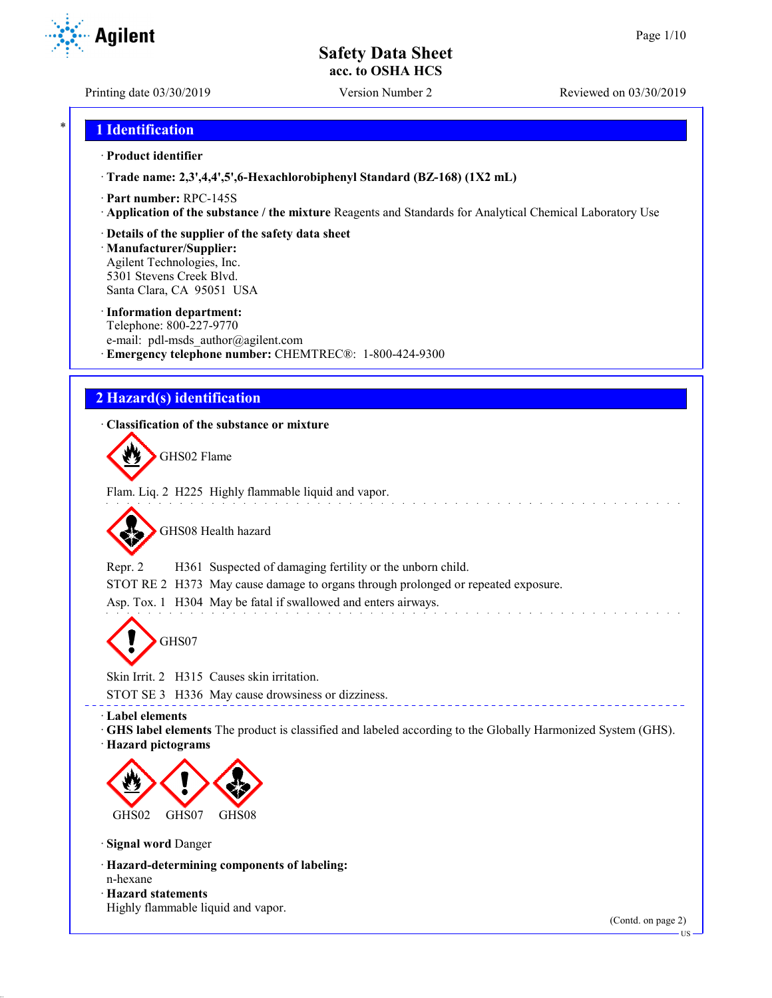Printing date 03/30/2019 Version Number 2 Reviewed on 03/30/2019

**Agilent** 

# \* **1 Identification**

#### · **Product identifier**

· **Trade name: 2,3',4,4',5',6-Hexachlorobiphenyl Standard (BZ-168) (1X2 mL)**

- · **Part number:** RPC-145S
- · **Application of the substance / the mixture** Reagents and Standards for Analytical Chemical Laboratory Use

### · **Details of the supplier of the safety data sheet**

· **Manufacturer/Supplier:** Agilent Technologies, Inc. 5301 Stevens Creek Blvd. Santa Clara, CA 95051 USA

#### · **Information department:**

Telephone: 800-227-9770 e-mail: pdl-msds author@agilent.com · **Emergency telephone number:** CHEMTREC®: 1-800-424-9300

# **2 Hazard(s) identification**

### · **Classification of the substance or mixture**

GHS02 Flame

Flam. Liq. 2 H225 Highly flammable liquid and vapor.

GHS08 Health hazard

Repr. 2 H361 Suspected of damaging fertility or the unborn child.

STOT RE 2 H373 May cause damage to organs through prolonged or repeated exposure.

Asp. Tox. 1 H304 May be fatal if swallowed and enters airways.

GHS07

Skin Irrit. 2 H315 Causes skin irritation.

STOT SE 3 H336 May cause drowsiness or dizziness.

· **Label elements**

· **GHS label elements** The product is classified and labeled according to the Globally Harmonized System (GHS).

· **Hazard pictograms**



· **Signal word** Danger

- · **Hazard-determining components of labeling:** n-hexane
- · **Hazard statements**
- Highly flammable liquid and vapor.

(Contd. on page 2)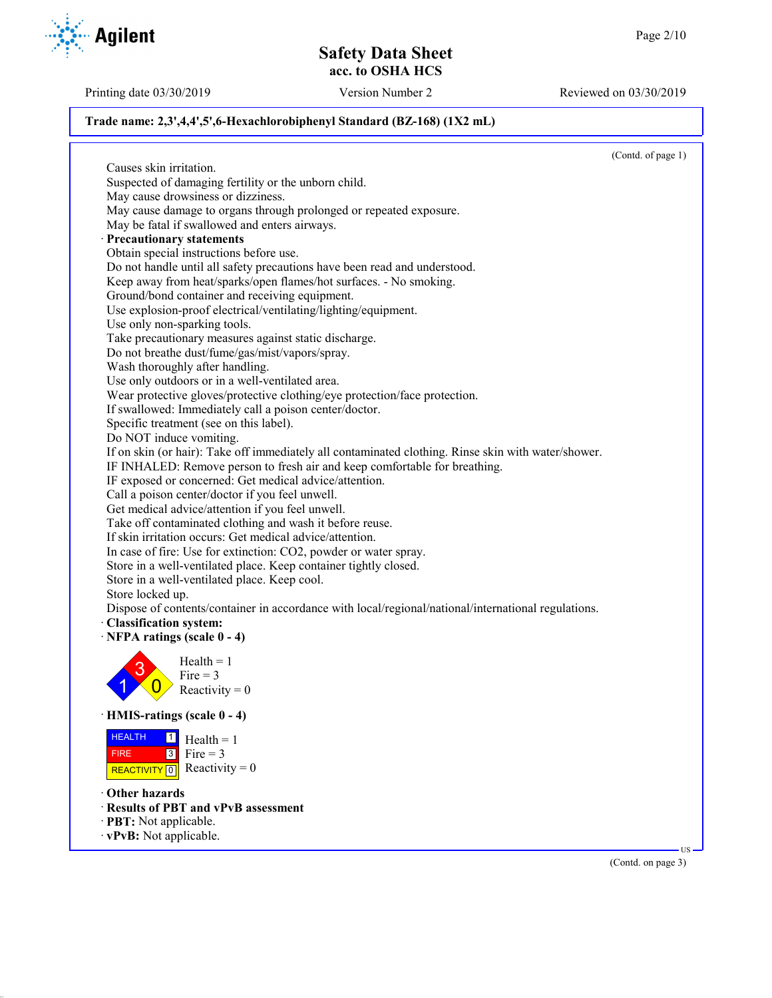Printing date 03/30/2019 Version Number 2 Reviewed on 03/30/2019

(Contd. on page 3)

### **Trade name: 2,3',4,4',5',6-Hexachlorobiphenyl Standard (BZ-168) (1X2 mL)**

(Contd. of page 1) Causes skin irritation. Suspected of damaging fertility or the unborn child. May cause drowsiness or dizziness. May cause damage to organs through prolonged or repeated exposure. May be fatal if swallowed and enters airways. · **Precautionary statements** Obtain special instructions before use. Do not handle until all safety precautions have been read and understood. Keep away from heat/sparks/open flames/hot surfaces. - No smoking. Ground/bond container and receiving equipment. Use explosion-proof electrical/ventilating/lighting/equipment. Use only non-sparking tools. Take precautionary measures against static discharge. Do not breathe dust/fume/gas/mist/vapors/spray. Wash thoroughly after handling. Use only outdoors or in a well-ventilated area. Wear protective gloves/protective clothing/eye protection/face protection. If swallowed: Immediately call a poison center/doctor. Specific treatment (see on this label). Do NOT induce vomiting. If on skin (or hair): Take off immediately all contaminated clothing. Rinse skin with water/shower. IF INHALED: Remove person to fresh air and keep comfortable for breathing. IF exposed or concerned: Get medical advice/attention. Call a poison center/doctor if you feel unwell. Get medical advice/attention if you feel unwell. Take off contaminated clothing and wash it before reuse. If skin irritation occurs: Get medical advice/attention. In case of fire: Use for extinction: CO2, powder or water spray. Store in a well-ventilated place. Keep container tightly closed. Store in a well-ventilated place. Keep cool. Store locked up. Dispose of contents/container in accordance with local/regional/national/international regulations. · **Classification system:** · **NFPA ratings (scale 0 - 4)** 1 3  $\overline{0}$  $Health = 1$ Fire  $= 3$ Reactivity  $= 0$ · **HMIS-ratings (scale 0 - 4)** HEALTH FIRE REACTIVITY  $\boxed{0}$  Reactivity = 0  $\frac{1}{\Box}$  Health = 1  $3$  Fire = 3 · **Other hazards** · **Results of PBT and vPvB assessment** · **PBT:** Not applicable. · **vPvB:** Not applicable. US

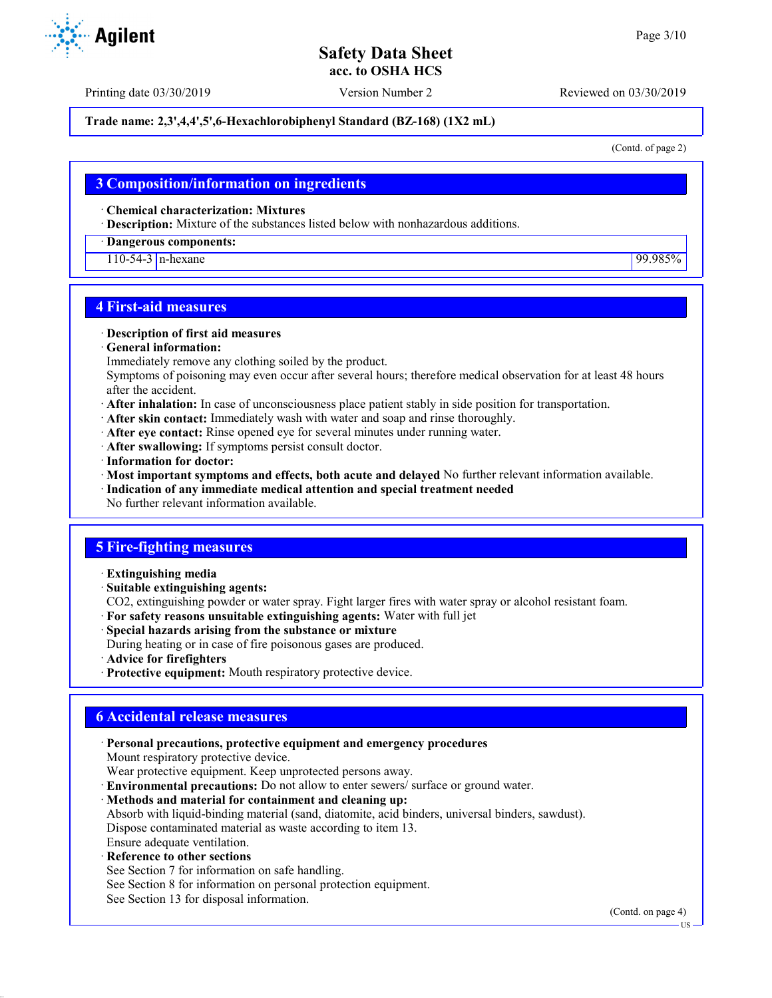#### **Trade name: 2,3',4,4',5',6-Hexachlorobiphenyl Standard (BZ-168) (1X2 mL)**

(Contd. of page 2)

## **3 Composition/information on ingredients**

· **Chemical characterization: Mixtures**

· **Description:** Mixture of the substances listed below with nonhazardous additions.

#### · **Dangerous components:**

110-54-3 n-hexane 99.985%

## **4 First-aid measures**

#### · **Description of first aid measures**

· **General information:**

Immediately remove any clothing soiled by the product.

Symptoms of poisoning may even occur after several hours; therefore medical observation for at least 48 hours after the accident.

- · **After inhalation:** In case of unconsciousness place patient stably in side position for transportation.
- · **After skin contact:** Immediately wash with water and soap and rinse thoroughly.
- · **After eye contact:** Rinse opened eye for several minutes under running water.
- · **After swallowing:** If symptoms persist consult doctor.
- · **Information for doctor:**
- · **Most important symptoms and effects, both acute and delayed** No further relevant information available.
- · **Indication of any immediate medical attention and special treatment needed**
- No further relevant information available.

#### **5 Fire-fighting measures**

- · **Extinguishing media**
- · **Suitable extinguishing agents:**
- CO2, extinguishing powder or water spray. Fight larger fires with water spray or alcohol resistant foam.
- · **For safety reasons unsuitable extinguishing agents:** Water with full jet
- · **Special hazards arising from the substance or mixture**
- During heating or in case of fire poisonous gases are produced.
- · **Advice for firefighters**
- · **Protective equipment:** Mouth respiratory protective device.

# **6 Accidental release measures**

· **Personal precautions, protective equipment and emergency procedures** Mount respiratory protective device. Wear protective equipment. Keep unprotected persons away. · **Environmental precautions:** Do not allow to enter sewers/ surface or ground water. · **Methods and material for containment and cleaning up:** Absorb with liquid-binding material (sand, diatomite, acid binders, universal binders, sawdust). Dispose contaminated material as waste according to item 13. Ensure adequate ventilation. **Reference to other sections** See Section 7 for information on safe handling.

- See Section 8 for information on personal protection equipment.
- See Section 13 for disposal information.

(Contd. on page 4)

US



Printing date 03/30/2019 Version Number 2 Reviewed on 03/30/2019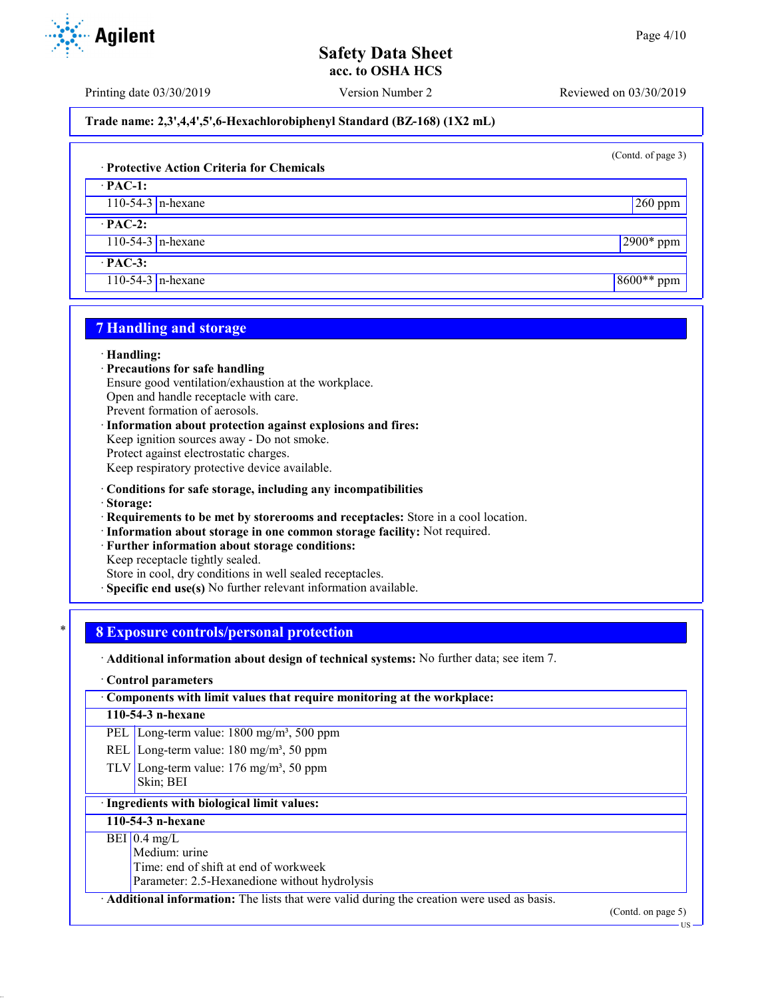Printing date 03/30/2019 Version Number 2 Reviewed on 03/30/2019

**Trade name: 2,3',4,4',5',6-Hexachlorobiphenyl Standard (BZ-168) (1X2 mL)**

(Contd. of page 3)

## · **Protective Action Criteria for Chemicals**

· **PAC-1:** 110-54-3 n-hexane 260 ppm

· **PAC-2:**

110-54-3 n-hexane 2900\* ppm

· **PAC-3:**

110-54-3 n-hexane 8600<sup>\*\*</sup> ppm

# **7 Handling and storage**

#### · **Handling:**

- · **Precautions for safe handling**
- Ensure good ventilation/exhaustion at the workplace.

Open and handle receptacle with care.

Prevent formation of aerosols.

· **Information about protection against explosions and fires:** Keep ignition sources away - Do not smoke. Protect against electrostatic charges. Keep respiratory protective device available.

- · **Conditions for safe storage, including any incompatibilities**
- · **Storage:**
- · **Requirements to be met by storerooms and receptacles:** Store in a cool location.
- · **Information about storage in one common storage facility:** Not required.
- Further information about storage conditions:

Keep receptacle tightly sealed.

Store in cool, dry conditions in well sealed receptacles.

**Specific end use(s)** No further relevant information available.

## \* **8 Exposure controls/personal protection**

· **Additional information about design of technical systems:** No further data; see item 7.

#### · **Control parameters**

· **Components with limit values that require monitoring at the workplace:**

#### **110-54-3 n-hexane**

PEL Long-term value: 1800 mg/m<sup>3</sup>, 500 ppm

- REL Long-term value:  $180 \text{ mg/m}^3$ , 50 ppm
- TLV Long-term value:  $176 \text{ mg/m}^3$ , 50 ppm Skin; BEI

## · **Ingredients with biological limit values:**

# **110-54-3 n-hexane**

## $BEI$  0.4 mg/L

Medium: urine

Time: end of shift at end of workweek

Parameter: 2.5-Hexanedione without hydrolysis

· **Additional information:** The lists that were valid during the creation were used as basis.

(Contd. on page 5)





US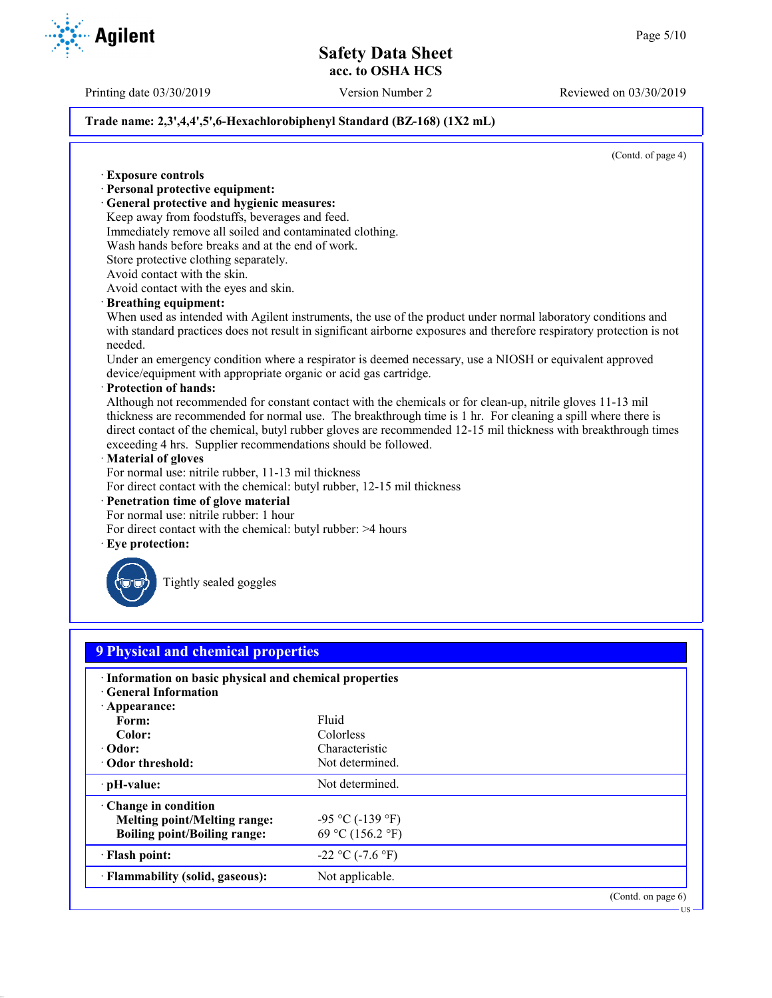Printing date 03/30/2019 Version Number 2 Reviewed on 03/30/2019

### **Trade name: 2,3',4,4',5',6-Hexachlorobiphenyl Standard (BZ-168) (1X2 mL)**

(Contd. of page 4)

· **Exposure controls** · **Personal protective equipment:** · **General protective and hygienic measures:** Keep away from foodstuffs, beverages and feed. Immediately remove all soiled and contaminated clothing. Wash hands before breaks and at the end of work. Store protective clothing separately. Avoid contact with the skin. Avoid contact with the eyes and skin. · **Breathing equipment:** When used as intended with Agilent instruments, the use of the product under normal laboratory conditions and with standard practices does not result in significant airborne exposures and therefore respiratory protection is not needed. Under an emergency condition where a respirator is deemed necessary, use a NIOSH or equivalent approved device/equipment with appropriate organic or acid gas cartridge. · **Protection of hands:** Although not recommended for constant contact with the chemicals or for clean-up, nitrile gloves 11-13 mil thickness are recommended for normal use. The breakthrough time is 1 hr. For cleaning a spill where there is direct contact of the chemical, butyl rubber gloves are recommended 12-15 mil thickness with breakthrough times exceeding 4 hrs. Supplier recommendations should be followed. · **Material of gloves** For normal use: nitrile rubber, 11-13 mil thickness For direct contact with the chemical: butyl rubber, 12-15 mil thickness · **Penetration time of glove material** For normal use: nitrile rubber: 1 hour For direct contact with the chemical: butyl rubber: >4 hours Eye protection: Tightly sealed goggles **9 Physical and chemical properties** · **Information on basic physical and chemical properties** · **General Information** · **Appearance:** Form: Fluid **Color:** Colorless **· Odor:** Characteristic Characteristic Characteristic Characteristic Characteristic Characteristic Characteristic Characteristic Characteristic Characteristic Characteristic Characteristic Characteristic Characteristic Ch **· Odor threshold: PH-value:** Not determined. · **Change in condition Melting point/Melting range:**  $-95 \degree C (-139 \degree F)$ **Boiling point/Boiling range:** 69 °C (156.2 °F)  $\cdot$  **Flash point:**  $-22 \degree C (-7.6 \degree F)$ **Flammability (solid, gaseous):** Not applicable. (Contd. on page 6) US

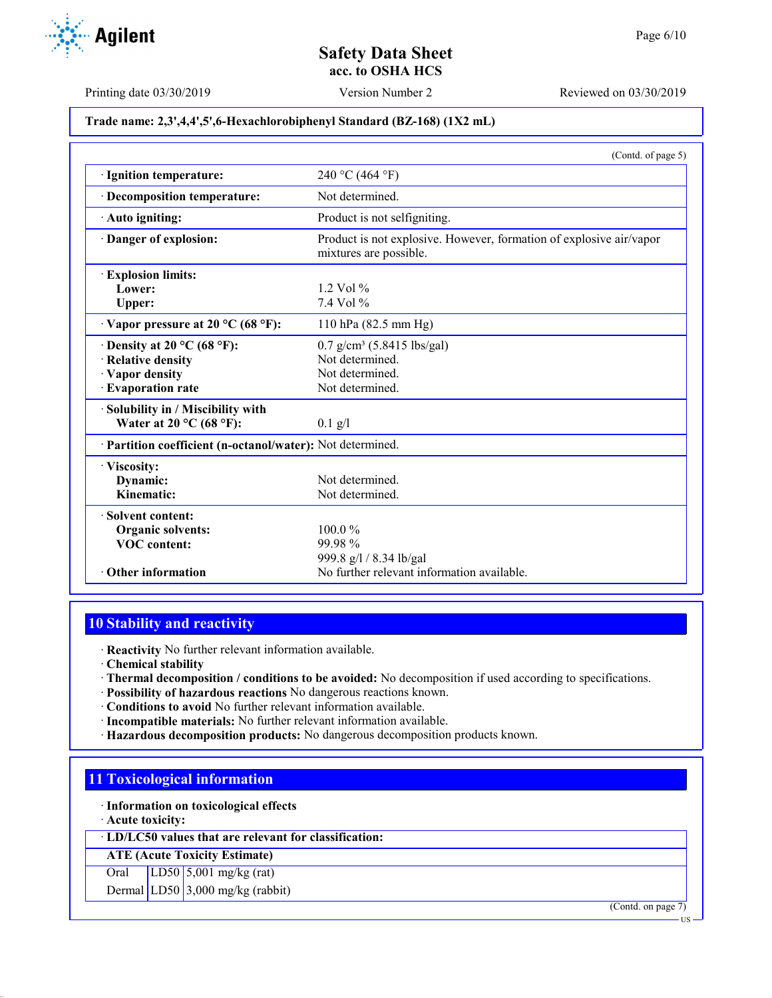Printing date 03/30/2019 Version Number 2 Reviewed on 03/30/2019

### **Trade name: 2,3',4,4',5',6-Hexachlorobiphenyl Standard (BZ-168) (1X2 mL)**

|                                                            | (Contd. of page 5)                                                                            |
|------------------------------------------------------------|-----------------------------------------------------------------------------------------------|
| · Ignition temperature:                                    | 240 °C (464 °F)                                                                               |
| · Decomposition temperature:                               | Not determined.                                                                               |
| · Auto igniting:                                           | Product is not selfigniting.                                                                  |
| Danger of explosion:                                       | Product is not explosive. However, formation of explosive air/vapor<br>mixtures are possible. |
| <b>Explosion limits:</b>                                   |                                                                                               |
| Lower:                                                     | $1.2$ Vol $%$                                                                                 |
| <b>Upper:</b>                                              | $7.4$ Vol $%$                                                                                 |
| $\cdot$ Vapor pressure at 20 °C (68 °F):                   | 110 hPa (82.5 mm Hg)                                                                          |
| Density at 20 °C (68 °F):                                  | $0.7$ g/cm <sup>3</sup> (5.8415 lbs/gal)                                                      |
| · Relative density                                         | Not determined.                                                                               |
| · Vapor density                                            | Not determined.                                                                               |
| · Evaporation rate                                         | Not determined.                                                                               |
| Solubility in / Miscibility with                           |                                                                                               |
| Water at 20 $^{\circ}$ C (68 $^{\circ}$ F):                | $0.1$ g/l                                                                                     |
| · Partition coefficient (n-octanol/water): Not determined. |                                                                                               |
| · Viscosity:                                               |                                                                                               |
| Dynamic:                                                   | Not determined.                                                                               |
| Kinematic:                                                 | Not determined.                                                                               |
| Solvent content:                                           |                                                                                               |
| <b>Organic solvents:</b>                                   | $100.0\%$                                                                                     |
| <b>VOC</b> content:                                        | 99.98%                                                                                        |
|                                                            | 999.8 g/l / 8.34 lb/gal                                                                       |
| • Other information                                        | No further relevant information available.                                                    |

# **10 Stability and reactivity**

· **Reactivity** No further relevant information available.

· **Chemical stability**

- · **Thermal decomposition / conditions to be avoided:** No decomposition if used according to specifications.
- · **Possibility of hazardous reactions** No dangerous reactions known.
- · **Conditions to avoid** No further relevant information available.
- · **Incompatible materials:** No further relevant information available.
- · **Hazardous decomposition products:** No dangerous decomposition products known.

# **11 Toxicological information**

· **Information on toxicological effects**

· **Acute toxicity:**

· **LD/LC50 values that are relevant for classification:**

**ATE (Acute Toxicity Estimate)**

Oral LD50 5,001 mg/kg (rat)

Dermal LD50 3,000 mg/kg (rabbit)

(Contd. on page 7)

US

**Agilent**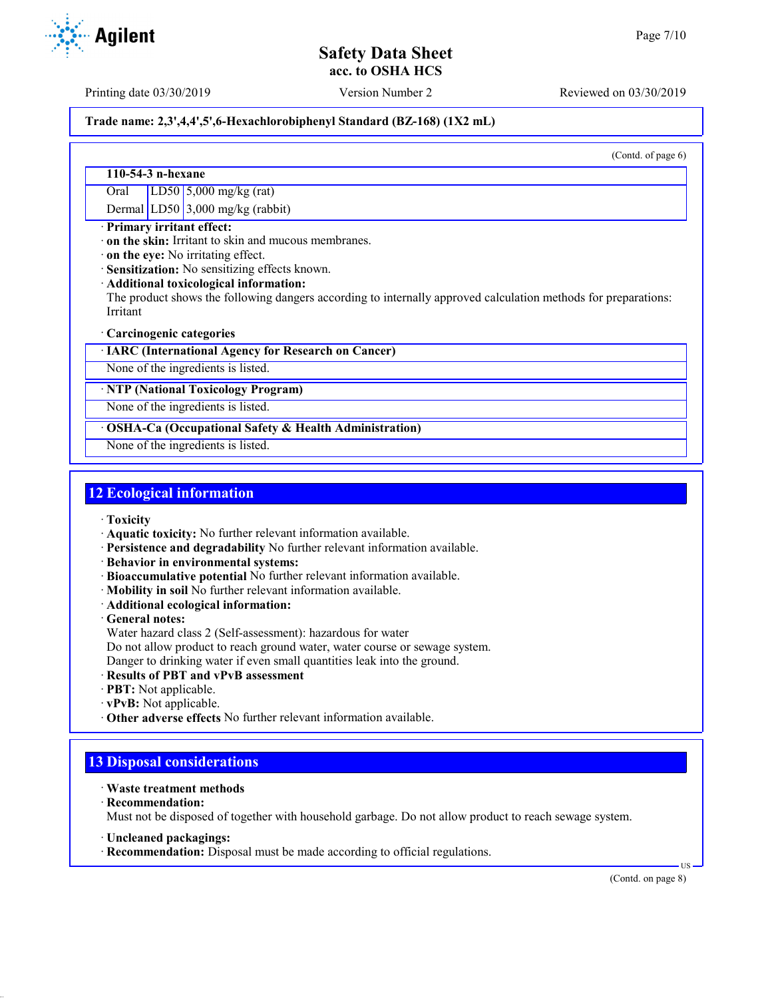Printing date 03/30/2019 Version Number 2 Reviewed on 03/30/2019

# **Trade name: 2,3',4,4',5',6-Hexachlorobiphenyl Standard (BZ-168) (1X2 mL)**

(Contd. of page 6)

### **110-54-3 n-hexane**

Oral LD50 5,000 mg/kg (rat)

Dermal LD50 3,000 mg/kg (rabbit)

#### · **Primary irritant effect:**

· **on the skin:** Irritant to skin and mucous membranes.

· **on the eye:** No irritating effect.

· **Sensitization:** No sensitizing effects known.

· **Additional toxicological information:**

The product shows the following dangers according to internally approved calculation methods for preparations: Irritant

#### · **Carcinogenic categories**

· **IARC (International Agency for Research on Cancer)**

None of the ingredients is listed.

#### · **NTP (National Toxicology Program)**

None of the ingredients is listed.

#### · **OSHA-Ca (Occupational Safety & Health Administration)**

None of the ingredients is listed.

# **12 Ecological information**

- · **Toxicity**
- · **Aquatic toxicity:** No further relevant information available.
- · **Persistence and degradability** No further relevant information available.
- · **Behavior in environmental systems:**
- · **Bioaccumulative potential** No further relevant information available.
- · **Mobility in soil** No further relevant information available.
- · **Additional ecological information:**
- · **General notes:**
- Water hazard class 2 (Self-assessment): hazardous for water
- Do not allow product to reach ground water, water course or sewage system.

Danger to drinking water if even small quantities leak into the ground.

- · **Results of PBT and vPvB assessment**
- · **PBT:** Not applicable.
- · **vPvB:** Not applicable.
- · **Other adverse effects** No further relevant information available.

# **13 Disposal considerations**

- · **Waste treatment methods**
- · **Recommendation:**

Must not be disposed of together with household garbage. Do not allow product to reach sewage system.

- · **Uncleaned packagings:**
- · **Recommendation:** Disposal must be made according to official regulations.

(Contd. on page 8)

US

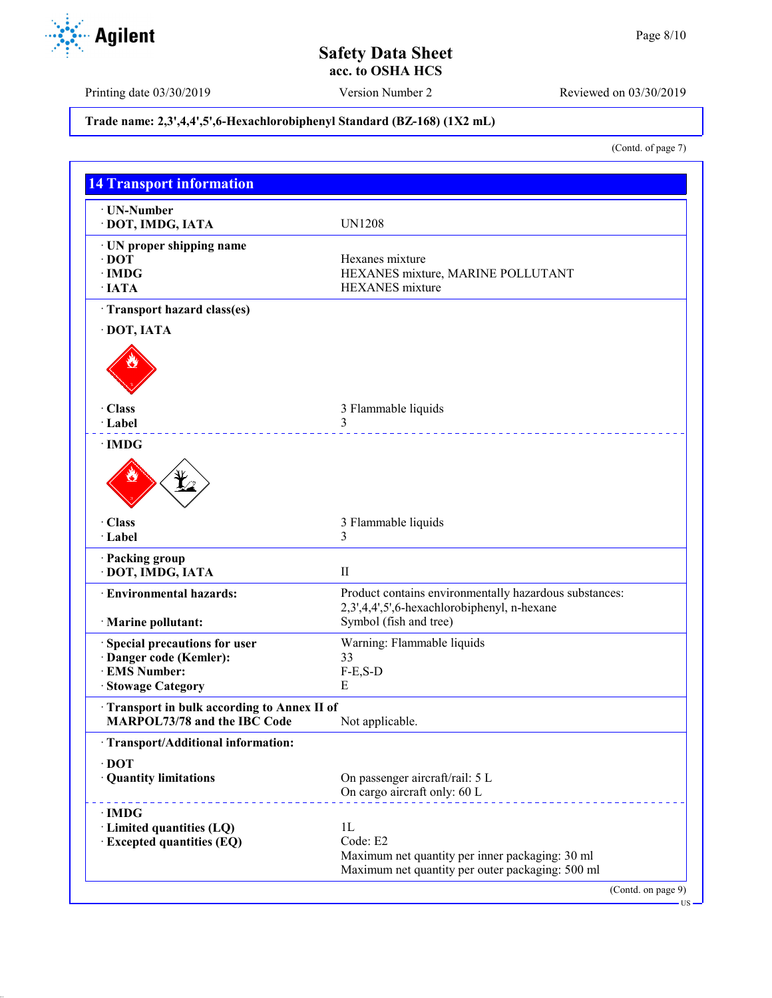Printing date 03/30/2019 Version Number 2 Reviewed on 03/30/2019

# **Trade name: 2,3',4,4',5',6-Hexachlorobiphenyl Standard (BZ-168) (1X2 mL)**

(Contd. of page 7)

| · UN-Number<br>· DOT, IMDG, IATA                                                  | <b>UN1208</b>                                                                                         |
|-----------------------------------------------------------------------------------|-------------------------------------------------------------------------------------------------------|
|                                                                                   |                                                                                                       |
| · UN proper shipping name                                                         |                                                                                                       |
| $\cdot$ DOT                                                                       | Hexanes mixture                                                                                       |
| $\cdot$ IMDG<br>$\cdot$ IATA                                                      | HEXANES mixture, MARINE POLLUTANT<br><b>HEXANES</b> mixture                                           |
|                                                                                   |                                                                                                       |
| Transport hazard class(es)                                                        |                                                                                                       |
| DOT, IATA                                                                         |                                                                                                       |
|                                                                                   |                                                                                                       |
| · Class                                                                           | 3 Flammable liquids                                                                                   |
| · Label                                                                           | 3                                                                                                     |
| · IMDG                                                                            |                                                                                                       |
| · Class                                                                           | 3 Flammable liquids                                                                                   |
| · Label                                                                           | 3                                                                                                     |
| · Packing group<br>DOT, IMDG, IATA                                                | $\mathbf{I}$                                                                                          |
| <b>Environmental hazards:</b>                                                     | Product contains environmentally hazardous substances:<br>2,3',4,4',5',6-hexachlorobiphenyl, n-hexane |
| · Marine pollutant:                                                               | Symbol (fish and tree)                                                                                |
| Special precautions for user                                                      | Warning: Flammable liquids                                                                            |
| Danger code (Kemler):                                                             | 33                                                                                                    |
| <b>EMS Number:</b>                                                                | $F-E, S-D$                                                                                            |
| · Stowage Category                                                                | Е                                                                                                     |
| Transport in bulk according to Annex II of<br><b>MARPOL73/78 and the IBC Code</b> | Not applicable.                                                                                       |
| · Transport/Additional information:                                               |                                                                                                       |
| $\cdot$ DOT                                                                       |                                                                                                       |
| <b>Quantity limitations</b>                                                       | On passenger aircraft/rail: 5 L<br>On cargo aircraft only: 60 L                                       |
| · IMDG                                                                            |                                                                                                       |
| · Limited quantities (LQ)                                                         | 1L                                                                                                    |
| <b>Excepted quantities (EQ)</b>                                                   | Code: E2                                                                                              |
|                                                                                   | Maximum net quantity per inner packaging: 30 ml                                                       |
|                                                                                   | Maximum net quantity per outer packaging: 500 ml                                                      |

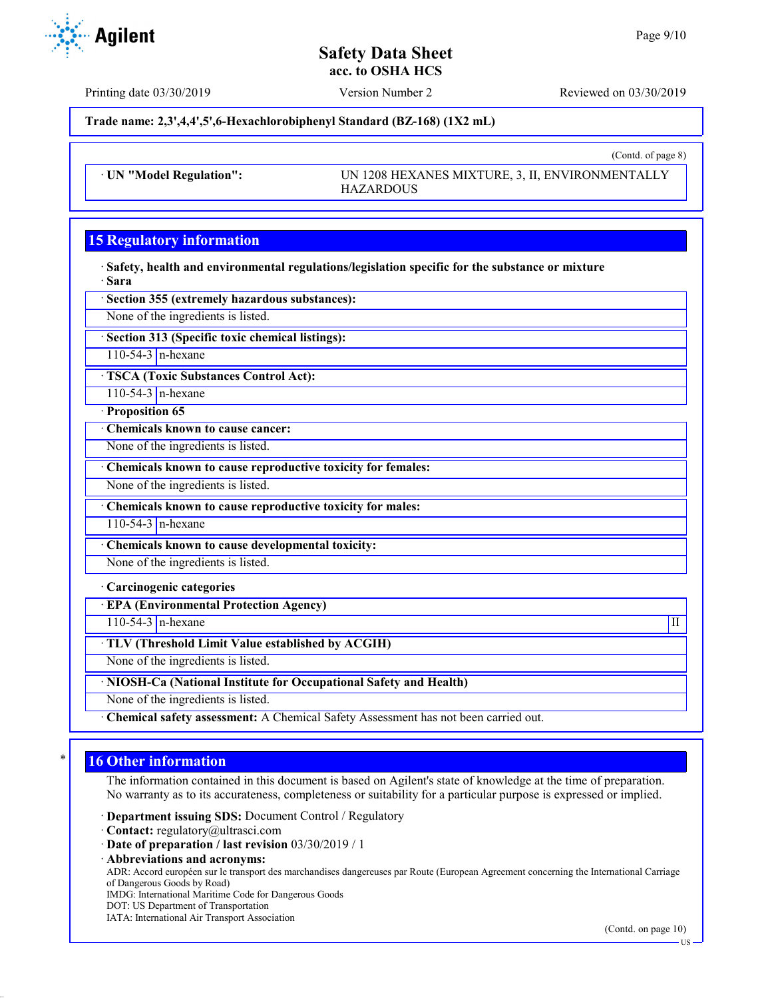Printing date 03/30/2019 Version Number 2 Reviewed on 03/30/2019

**Trade name: 2,3',4,4',5',6-Hexachlorobiphenyl Standard (BZ-168) (1X2 mL)**

· **UN "Model Regulation":** UN 1208 HEXANES MIXTURE, 3, II, ENVIRONMENTALLY HAZARDOUS

# **15 Regulatory information**

· **Safety, health and environmental regulations/legislation specific for the substance or mixture** · **Sara**

· **Section 355 (extremely hazardous substances):**

None of the ingredients is listed.

· **Section 313 (Specific toxic chemical listings):**

110-54-3  $n$ -hexane

· **TSCA (Toxic Substances Control Act):**

110-54-3 n-hexane

· **Proposition 65**

· **Chemicals known to cause cancer:**

None of the ingredients is listed.

· **Chemicals known to cause reproductive toxicity for females:**

None of the ingredients is listed.

· **Chemicals known to cause reproductive toxicity for males:**

110-54-3 n-hexane

· **Chemicals known to cause developmental toxicity:**

None of the ingredients is listed.

· **Carcinogenic categories**

· **EPA (Environmental Protection Agency)**

 $110-54-3$  n-hexane III

· **TLV (Threshold Limit Value established by ACGIH)**

None of the ingredients is listed.

· **NIOSH-Ca (National Institute for Occupational Safety and Health)**

None of the ingredients is listed.

· **Chemical safety assessment:** A Chemical Safety Assessment has not been carried out.

# **16 Other information**

The information contained in this document is based on Agilent's state of knowledge at the time of preparation. No warranty as to its accurateness, completeness or suitability for a particular purpose is expressed or implied.

· **Department issuing SDS:** Document Control / Regulatory

- · **Contact:** regulatory@ultrasci.com
- · **Date of preparation / last revision** 03/30/2019 / 1
- · **Abbreviations and acronyms:**

ADR: Accord européen sur le transport des marchandises dangereuses par Route (European Agreement concerning the International Carriage of Dangerous Goods by Road)

IMDG: International Maritime Code for Dangerous Goods

- DOT: US Department of Transportation
- IATA: International Air Transport Association

(Contd. on page 10)



(Contd. of page 8)